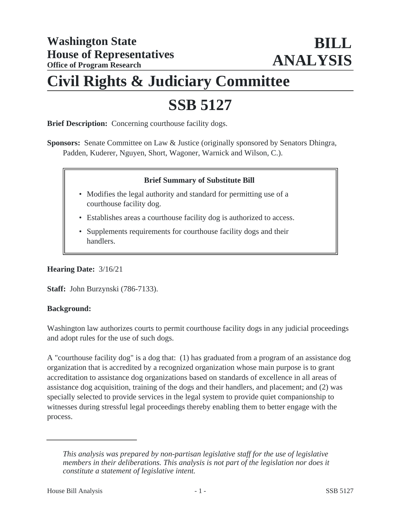## **Civil Rights & Judiciary Committee**

# **SSB 5127**

**Brief Description:** Concerning courthouse facility dogs.

**Sponsors:** Senate Committee on Law & Justice (originally sponsored by Senators Dhingra, Padden, Kuderer, Nguyen, Short, Wagoner, Warnick and Wilson, C.).

### **Brief Summary of Substitute Bill**

- Modifies the legal authority and standard for permitting use of a courthouse facility dog.
- Establishes areas a courthouse facility dog is authorized to access.
- Supplements requirements for courthouse facility dogs and their handlers.

**Hearing Date:** 3/16/21

**Staff:** John Burzynski (786-7133).

#### **Background:**

Washington law authorizes courts to permit courthouse facility dogs in any judicial proceedings and adopt rules for the use of such dogs.

A "courthouse facility dog" is a dog that: (1) has graduated from a program of an assistance dog organization that is accredited by a recognized organization whose main purpose is to grant accreditation to assistance dog organizations based on standards of excellence in all areas of assistance dog acquisition, training of the dogs and their handlers, and placement; and (2) was specially selected to provide services in the legal system to provide quiet companionship to witnesses during stressful legal proceedings thereby enabling them to better engage with the process.

*This analysis was prepared by non-partisan legislative staff for the use of legislative members in their deliberations. This analysis is not part of the legislation nor does it constitute a statement of legislative intent.*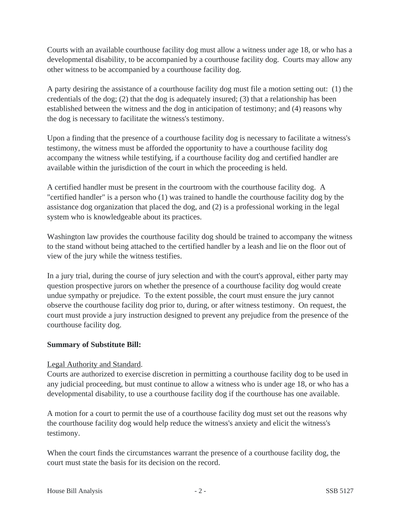Courts with an available courthouse facility dog must allow a witness under age 18, or who has a developmental disability, to be accompanied by a courthouse facility dog. Courts may allow any other witness to be accompanied by a courthouse facility dog.

A party desiring the assistance of a courthouse facility dog must file a motion setting out: (1) the credentials of the dog; (2) that the dog is adequately insured; (3) that a relationship has been established between the witness and the dog in anticipation of testimony; and (4) reasons why the dog is necessary to facilitate the witness's testimony.

Upon a finding that the presence of a courthouse facility dog is necessary to facilitate a witness's testimony, the witness must be afforded the opportunity to have a courthouse facility dog accompany the witness while testifying, if a courthouse facility dog and certified handler are available within the jurisdiction of the court in which the proceeding is held.

A certified handler must be present in the courtroom with the courthouse facility dog. A "certified handler" is a person who (1) was trained to handle the courthouse facility dog by the assistance dog organization that placed the dog, and (2) is a professional working in the legal system who is knowledgeable about its practices.

Washington law provides the courthouse facility dog should be trained to accompany the witness to the stand without being attached to the certified handler by a leash and lie on the floor out of view of the jury while the witness testifies.

In a jury trial, during the course of jury selection and with the court's approval, either party may question prospective jurors on whether the presence of a courthouse facility dog would create undue sympathy or prejudice. To the extent possible, the court must ensure the jury cannot observe the courthouse facility dog prior to, during, or after witness testimony. On request, the court must provide a jury instruction designed to prevent any prejudice from the presence of the courthouse facility dog.

#### **Summary of Substitute Bill:**

#### Legal Authority and Standard.

Courts are authorized to exercise discretion in permitting a courthouse facility dog to be used in any judicial proceeding, but must continue to allow a witness who is under age 18, or who has a developmental disability, to use a courthouse facility dog if the courthouse has one available.

A motion for a court to permit the use of a courthouse facility dog must set out the reasons why the courthouse facility dog would help reduce the witness's anxiety and elicit the witness's testimony.

When the court finds the circumstances warrant the presence of a courthouse facility dog, the court must state the basis for its decision on the record.